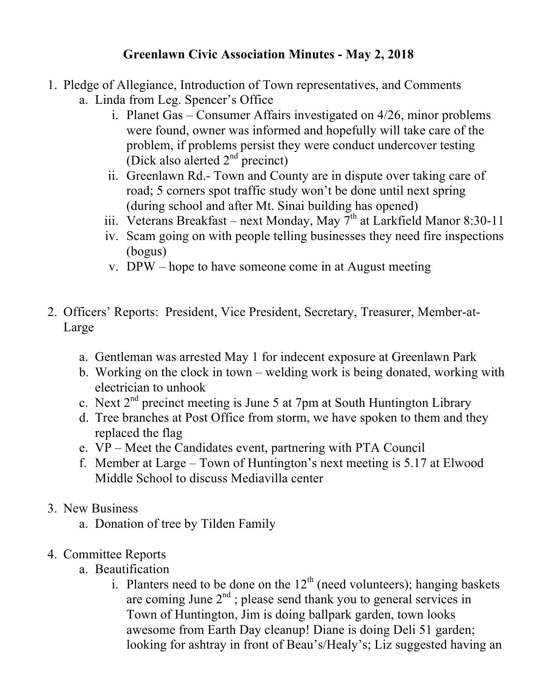## **Greenlawn Civic Association Minutes - May 2, 2018**

- 1. Pledge of Allegiance, Introduction of Town representatives, and Comments
	- a. Linda from Leg. Spencer's Office
		- i. Planet Gas Consumer Affairs investigated on 4/26, minor problems were found, owner was informed and hopefully will take care of the problem, if problems persist they were conduct undercover testing (Dick also alerted  $2<sup>nd</sup>$  precinct)
		- ii. Greenlawn Rd.- Town and County are in dispute over taking care of road; 5 corners spot traffic study won't be done until next spring (during school and after Mt. Sinai building has opened)
		- iii. Veterans Breakfast next Monday, May  $7<sup>th</sup>$  at Larkfield Manor 8:30-11
		- iv. Scam going on with people telling businesses they need fire inspections (bogus)
		- v. DPW hope to have someone come in at August meeting
- 2. Officers' Reports: President, Vice President, Secretary, Treasurer, Member-at-Large
	- a. Gentleman was arrested May 1 for indecent exposure at Greenlawn Park
	- b. Working on the clock in town welding work is being donated, working with electrician to unhook
	- c. Next  $2<sup>nd</sup>$  precinct meeting is June 5 at 7pm at South Huntington Library
	- d. Tree branches at Post Office from storm, we have spoken to them and they replaced the flag
	- e. VP Meet the Candidates event, partnering with PTA Council
	- f. Member at Large Town of Huntington's next meeting is 5.17 at Elwood Middle School to discuss Mediavilla center
- 3. New Business
	- a. Donation of tree by Tilden Family
- 4. Committee Reports
	- a. Beautification
		- i. Planters need to be done on the  $12<sup>th</sup>$  (need volunteers); hanging baskets are coming June  $2<sup>nd</sup>$ ; please send thank you to general services in Town of Huntington, Jim is doing ballpark garden, town looks awesome from Earth Day cleanup! Diane is doing Deli 51 garden; looking for ashtray in front of Beau's/Healy's; Liz suggested having an